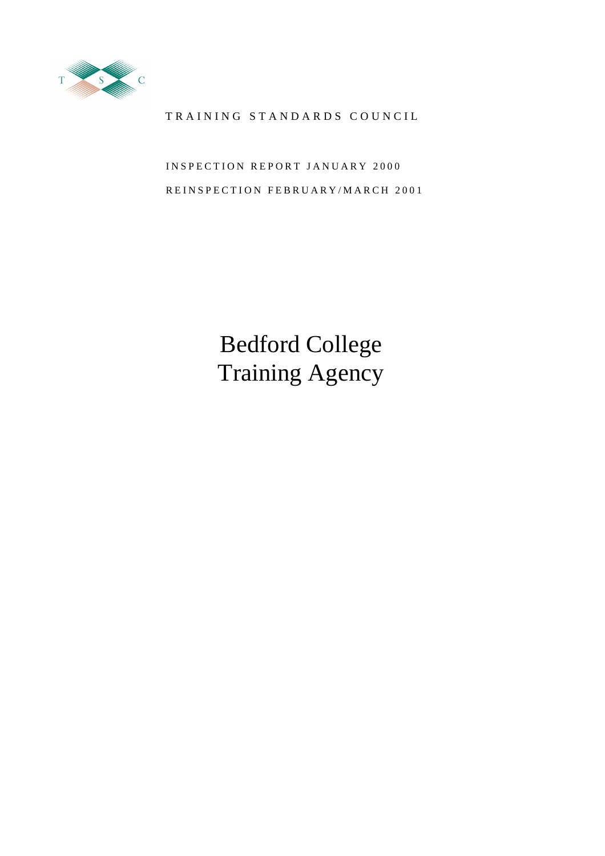

# TRAINING STANDARDS COUNCIL

INSPECTION REPORT JANUARY 2000 REINSPECTION FEBRUARY/MARCH 2001

> Bedford College Training Agency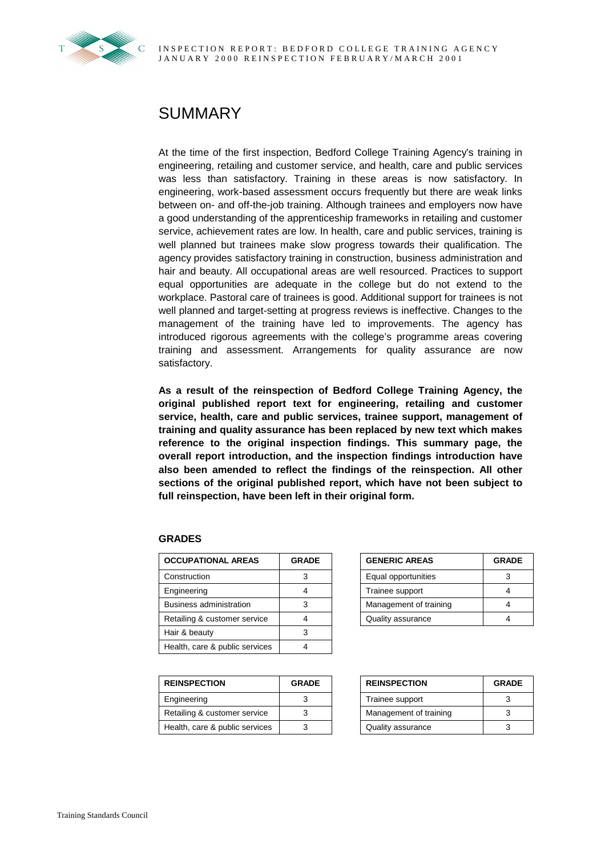

# SUMMARY

At the time of the first inspection, Bedford College Training Agency's training in engineering, retailing and customer service, and health, care and public services was less than satisfactory. Training in these areas is now satisfactory. In engineering, work-based assessment occurs frequently but there are weak links between on- and off-the-job training. Although trainees and employers now have a good understanding of the apprenticeship frameworks in retailing and customer service, achievement rates are low. In health, care and public services, training is well planned but trainees make slow progress towards their qualification. The agency provides satisfactory training in construction, business administration and hair and beauty. All occupational areas are well resourced. Practices to support equal opportunities are adequate in the college but do not extend to the workplace. Pastoral care of trainees is good. Additional support for trainees is not well planned and target-setting at progress reviews is ineffective. Changes to the management of the training have led to improvements. The agency has introduced rigorous agreements with the college's programme areas covering training and assessment. Arrangements for quality assurance are now satisfactory.

**As a result of the reinspection of Bedford College Training Agency, the original published report text for engineering, retailing and customer service, health, care and public services, trainee support, management of training and quality assurance has been replaced by new text which makes reference to the original inspection findings. This summary page, the overall report introduction, and the inspection findings introduction have also been amended to reflect the findings of the reinspection. All other sections of the original published report, which have not been subject to full reinspection, have been left in their original form.**

#### **GRADES**

| <b>OCCUPATIONAL AREAS</b>      | <b>GRADE</b> | <b>GENERIC AREAS</b>   | <b>GRADE</b> |
|--------------------------------|--------------|------------------------|--------------|
| Construction                   |              | Equal opportunities    |              |
| Engineering                    |              | Trainee support        |              |
| Business administration        |              | Management of training |              |
| Retailing & customer service   |              | Quality assurance      |              |
| Hair & beauty                  |              |                        |              |
| Health, care & public services |              |                        |              |

| <b>REINSPECTION</b>            | <b>GRADE</b> | <b>REINSPECTION</b> |                        | <b>GRADE</b> |
|--------------------------------|--------------|---------------------|------------------------|--------------|
| Engineering                    |              |                     | Trainee support        |              |
| Retailing & customer service   |              |                     | Management of training |              |
| Health, care & public services |              |                     | Quality assurance      |              |

| <b>GENERIC AREAS</b>   | <b>GRADE</b> |
|------------------------|--------------|
| Equal opportunities    | з            |
| Trainee support        |              |
| Management of training |              |
| Quality assurance      |              |

| <b>REINSPECTION</b>    | <b>GRADE</b> |  |
|------------------------|--------------|--|
| Trainee support        |              |  |
| Management of training |              |  |
| Quality assurance      |              |  |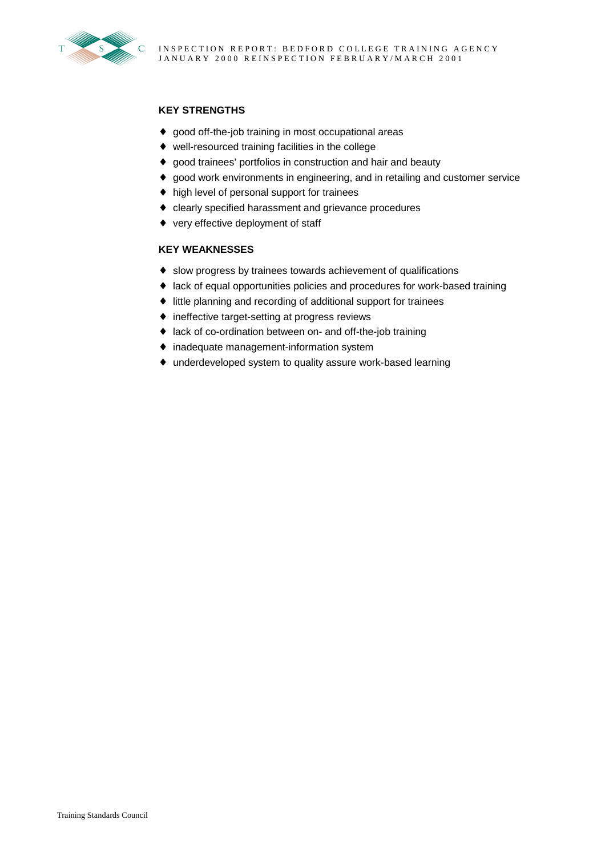

# **KEY STRENGTHS**

- ♦ good off-the-job training in most occupational areas
- ♦ well-resourced training facilities in the college
- ♦ good trainees' portfolios in construction and hair and beauty
- ♦ good work environments in engineering, and in retailing and customer service
- ♦ high level of personal support for trainees
- ♦ clearly specified harassment and grievance procedures
- ♦ very effective deployment of staff

# **KEY WEAKNESSES**

- ♦ slow progress by trainees towards achievement of qualifications
- ♦ lack of equal opportunities policies and procedures for work-based training
- ♦ little planning and recording of additional support for trainees
- ♦ ineffective target-setting at progress reviews
- ♦ lack of co-ordination between on- and off-the-job training
- ♦ inadequate management-information system
- ♦ underdeveloped system to quality assure work-based learning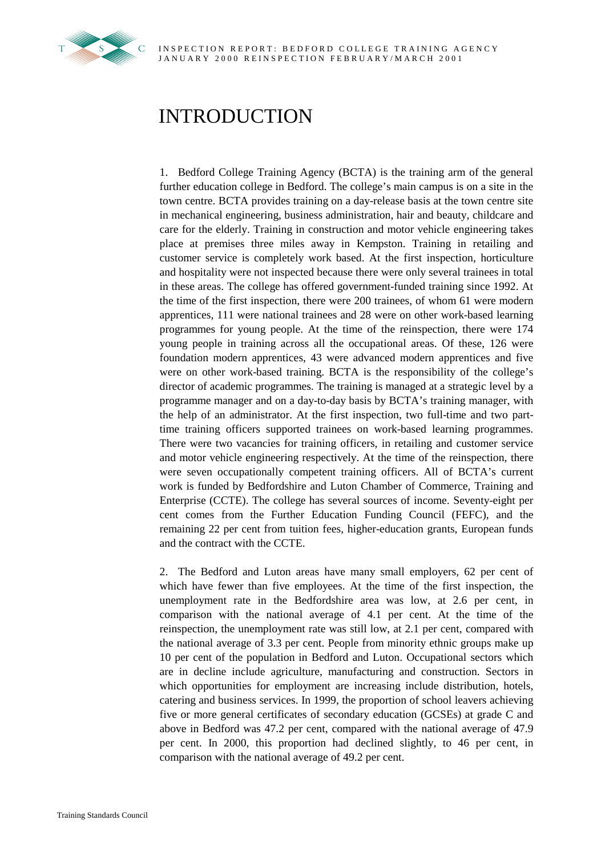

# INTRODUCTION

1. Bedford College Training Agency (BCTA) is the training arm of the general further education college in Bedford. The college's main campus is on a site in the town centre. BCTA provides training on a day-release basis at the town centre site in mechanical engineering, business administration, hair and beauty, childcare and care for the elderly. Training in construction and motor vehicle engineering takes place at premises three miles away in Kempston. Training in retailing and customer service is completely work based. At the first inspection, horticulture and hospitality were not inspected because there were only several trainees in total in these areas. The college has offered government-funded training since 1992. At the time of the first inspection, there were 200 trainees, of whom 61 were modern apprentices, 111 were national trainees and 28 were on other work-based learning programmes for young people. At the time of the reinspection, there were 174 young people in training across all the occupational areas. Of these, 126 were foundation modern apprentices, 43 were advanced modern apprentices and five were on other work-based training. BCTA is the responsibility of the college's director of academic programmes. The training is managed at a strategic level by a programme manager and on a day-to-day basis by BCTA's training manager, with the help of an administrator. At the first inspection, two full-time and two parttime training officers supported trainees on work-based learning programmes. There were two vacancies for training officers, in retailing and customer service and motor vehicle engineering respectively. At the time of the reinspection, there were seven occupationally competent training officers. All of BCTA's current work is funded by Bedfordshire and Luton Chamber of Commerce, Training and Enterprise (CCTE). The college has several sources of income. Seventy-eight per cent comes from the Further Education Funding Council (FEFC), and the remaining 22 per cent from tuition fees, higher-education grants, European funds and the contract with the CCTE.

2. The Bedford and Luton areas have many small employers, 62 per cent of which have fewer than five employees. At the time of the first inspection, the unemployment rate in the Bedfordshire area was low, at 2.6 per cent, in comparison with the national average of 4.1 per cent. At the time of the reinspection, the unemployment rate was still low, at 2.1 per cent, compared with the national average of 3.3 per cent. People from minority ethnic groups make up 10 per cent of the population in Bedford and Luton. Occupational sectors which are in decline include agriculture, manufacturing and construction. Sectors in which opportunities for employment are increasing include distribution, hotels, catering and business services. In 1999, the proportion of school leavers achieving five or more general certificates of secondary education (GCSEs) at grade C and above in Bedford was 47.2 per cent, compared with the national average of 47.9 per cent. In 2000, this proportion had declined slightly, to 46 per cent, in comparison with the national average of 49.2 per cent.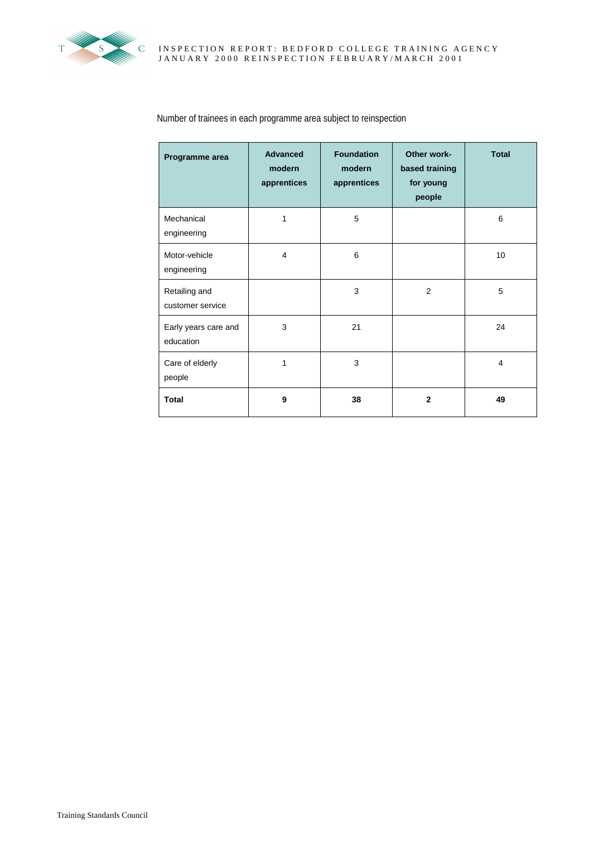

| Programme area                    | <b>Advanced</b><br>modern<br>apprentices | <b>Foundation</b><br>modern<br>apprentices | Other work-<br>based training<br>for young<br>people | <b>Total</b>   |
|-----------------------------------|------------------------------------------|--------------------------------------------|------------------------------------------------------|----------------|
| Mechanical<br>engineering         | 1                                        | 5                                          |                                                      | 6              |
| Motor-vehicle<br>engineering      | $\overline{4}$                           | 6                                          |                                                      | 10             |
| Retailing and<br>customer service |                                          | 3                                          | 2                                                    | 5              |
| Early years care and<br>education | 3                                        | 21                                         |                                                      | 24             |
| Care of elderly<br>people         | 1                                        | 3                                          |                                                      | $\overline{4}$ |
| <b>Total</b>                      | 9                                        | 38                                         | $\overline{2}$                                       | 49             |

# Number of trainees in each programme area subject to reinspection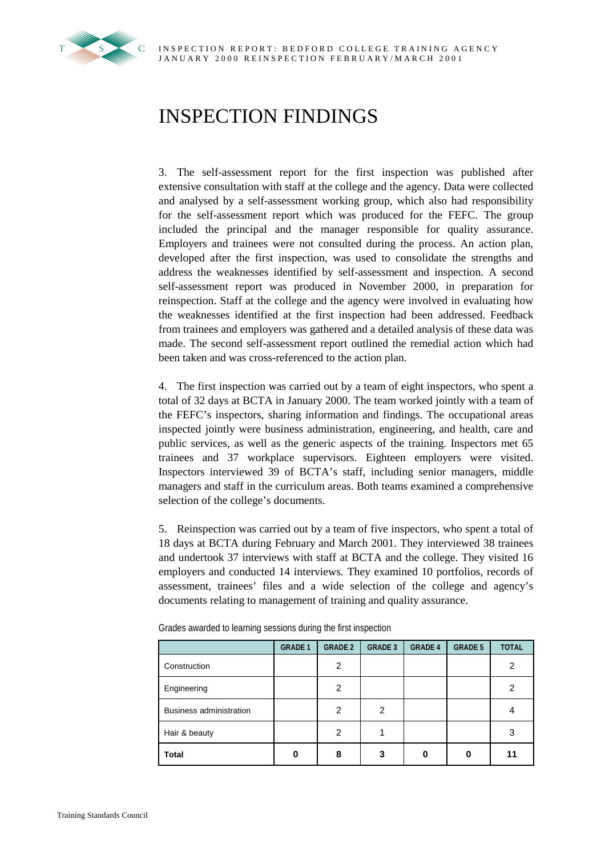

# INSPECTION FINDINGS

3. The self-assessment report for the first inspection was published after extensive consultation with staff at the college and the agency. Data were collected and analysed by a self-assessment working group, which also had responsibility for the self-assessment report which was produced for the FEFC. The group included the principal and the manager responsible for quality assurance. Employers and trainees were not consulted during the process. An action plan, developed after the first inspection, was used to consolidate the strengths and address the weaknesses identified by self-assessment and inspection. A second self-assessment report was produced in November 2000, in preparation for reinspection. Staff at the college and the agency were involved in evaluating how the weaknesses identified at the first inspection had been addressed. Feedback from trainees and employers was gathered and a detailed analysis of these data was made. The second self-assessment report outlined the remedial action which had been taken and was cross-referenced to the action plan.

4. The first inspection was carried out by a team of eight inspectors, who spent a total of 32 days at BCTA in January 2000. The team worked jointly with a team of the FEFC's inspectors, sharing information and findings. The occupational areas inspected jointly were business administration, engineering, and health, care and public services, as well as the generic aspects of the training. Inspectors met 65 trainees and 37 workplace supervisors. Eighteen employers were visited. Inspectors interviewed 39 of BCTA's staff, including senior managers, middle managers and staff in the curriculum areas. Both teams examined a comprehensive selection of the college's documents.

5. Reinspection was carried out by a team of five inspectors, who spent a total of 18 days at BCTA during February and March 2001. They interviewed 38 trainees and undertook 37 interviews with staff at BCTA and the college. They visited 16 employers and conducted 14 interviews. They examined 10 portfolios, records of assessment, trainees' files and a wide selection of the college and agency's documents relating to management of training and quality assurance.

|                         | <b>GRADE 1</b> | <b>GRADE 2</b> | <b>GRADE 3</b> | <b>GRADE 4</b> | <b>GRADE 5</b> | <b>TOTAL</b> |
|-------------------------|----------------|----------------|----------------|----------------|----------------|--------------|
| Construction            |                | 2              |                |                |                | 2            |
| Engineering             |                | 2              |                |                |                | 2            |
| Business administration |                | 2              | 2              |                |                | 4            |
| Hair & beauty           |                | 2              |                |                |                | 3            |
| <b>Total</b>            | Ω              | 8              | 3              | ი              | 0              | 11           |

Grades awarded to learning sessions during the first inspection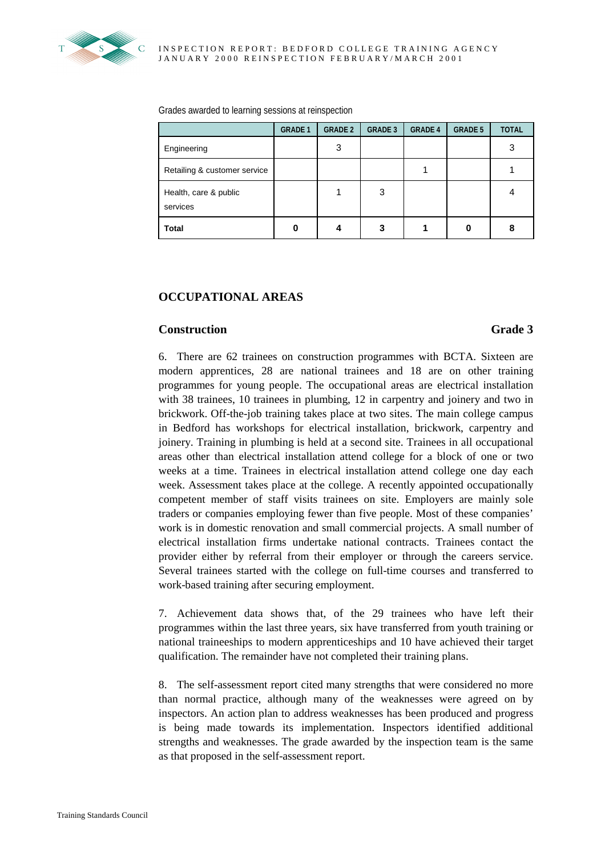

Grades awarded to learning sessions at reinspection

|                                   | <b>GRADE 1</b> | <b>GRADE 2</b> | <b>GRADE 3</b> | <b>GRADE 4</b> | <b>GRADE 5</b> | <b>TOTAL</b> |
|-----------------------------------|----------------|----------------|----------------|----------------|----------------|--------------|
| Engineering                       |                | 3              |                |                |                | 3            |
| Retailing & customer service      |                |                |                |                |                |              |
| Health, care & public<br>services |                |                | 3              |                |                |              |
| <b>Total</b>                      |                |                | 3              |                | O              | 8            |

# **OCCUPATIONAL AREAS**

# **Construction** Grade 3

6. There are 62 trainees on construction programmes with BCTA. Sixteen are modern apprentices, 28 are national trainees and 18 are on other training programmes for young people. The occupational areas are electrical installation with 38 trainees, 10 trainees in plumbing, 12 in carpentry and joinery and two in brickwork. Off-the-job training takes place at two sites. The main college campus in Bedford has workshops for electrical installation, brickwork, carpentry and joinery. Training in plumbing is held at a second site. Trainees in all occupational areas other than electrical installation attend college for a block of one or two weeks at a time. Trainees in electrical installation attend college one day each week. Assessment takes place at the college. A recently appointed occupationally competent member of staff visits trainees on site. Employers are mainly sole traders or companies employing fewer than five people. Most of these companies' work is in domestic renovation and small commercial projects. A small number of electrical installation firms undertake national contracts. Trainees contact the provider either by referral from their employer or through the careers service. Several trainees started with the college on full-time courses and transferred to work-based training after securing employment.

7. Achievement data shows that, of the 29 trainees who have left their programmes within the last three years, six have transferred from youth training or national traineeships to modern apprenticeships and 10 have achieved their target qualification. The remainder have not completed their training plans.

8. The self-assessment report cited many strengths that were considered no more than normal practice, although many of the weaknesses were agreed on by inspectors. An action plan to address weaknesses has been produced and progress is being made towards its implementation. Inspectors identified additional strengths and weaknesses. The grade awarded by the inspection team is the same as that proposed in the self-assessment report.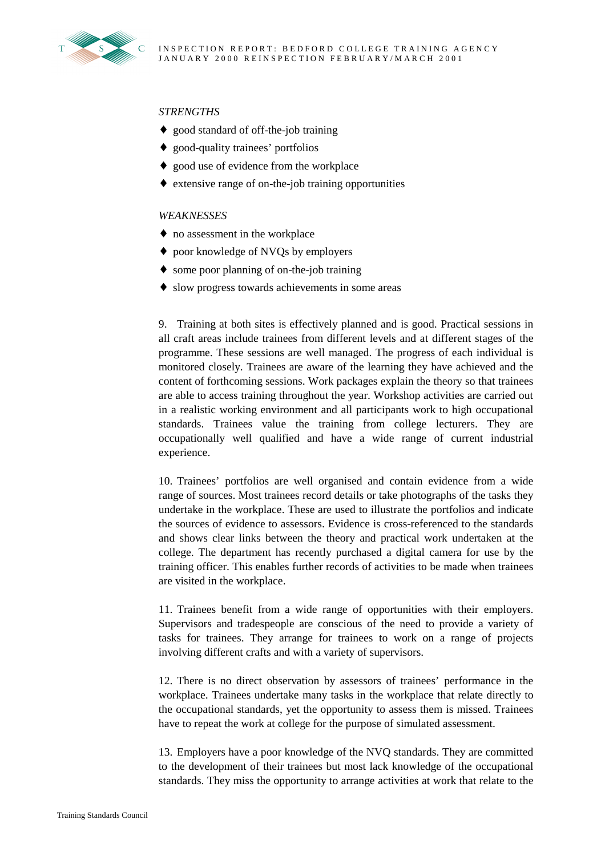

# *STRENGTHS*

- ♦ good standard of off-the-job training
- ♦ good-quality trainees' portfolios
- ♦ good use of evidence from the workplace
- ♦ extensive range of on-the-job training opportunities

### *WEAKNESSES*

- ♦ no assessment in the workplace
- ♦ poor knowledge of NVQs by employers
- ♦ some poor planning of on-the-job training
- ♦ slow progress towards achievements in some areas

9. Training at both sites is effectively planned and is good. Practical sessions in all craft areas include trainees from different levels and at different stages of the programme. These sessions are well managed. The progress of each individual is monitored closely. Trainees are aware of the learning they have achieved and the content of forthcoming sessions. Work packages explain the theory so that trainees are able to access training throughout the year. Workshop activities are carried out in a realistic working environment and all participants work to high occupational standards. Trainees value the training from college lecturers. They are occupationally well qualified and have a wide range of current industrial experience.

10. Trainees' portfolios are well organised and contain evidence from a wide range of sources. Most trainees record details or take photographs of the tasks they undertake in the workplace. These are used to illustrate the portfolios and indicate the sources of evidence to assessors. Evidence is cross-referenced to the standards and shows clear links between the theory and practical work undertaken at the college. The department has recently purchased a digital camera for use by the training officer. This enables further records of activities to be made when trainees are visited in the workplace.

11. Trainees benefit from a wide range of opportunities with their employers. Supervisors and tradespeople are conscious of the need to provide a variety of tasks for trainees. They arrange for trainees to work on a range of projects involving different crafts and with a variety of supervisors.

12. There is no direct observation by assessors of trainees' performance in the workplace. Trainees undertake many tasks in the workplace that relate directly to the occupational standards, yet the opportunity to assess them is missed. Trainees have to repeat the work at college for the purpose of simulated assessment.

13. Employers have a poor knowledge of the NVQ standards. They are committed to the development of their trainees but most lack knowledge of the occupational standards. They miss the opportunity to arrange activities at work that relate to the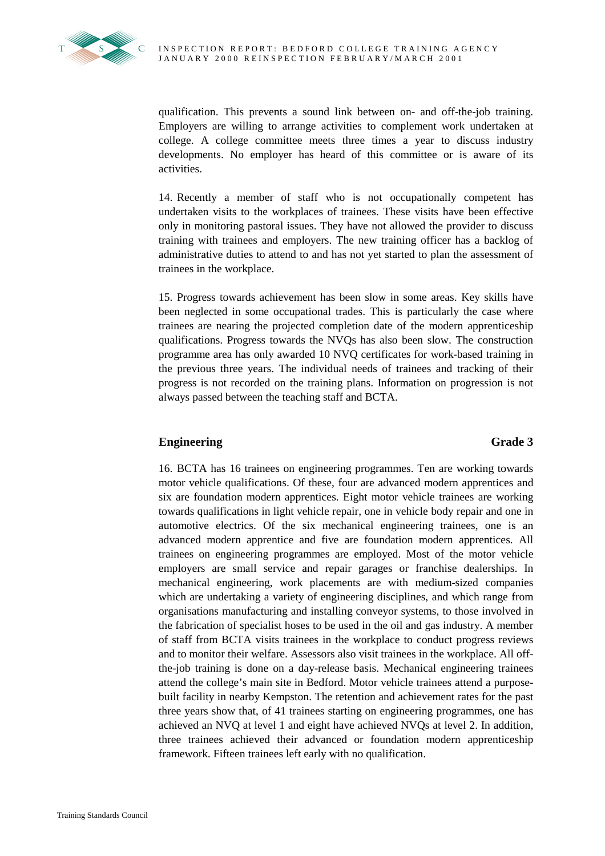

qualification. This prevents a sound link between on- and off-the-job training. Employers are willing to arrange activities to complement work undertaken at college. A college committee meets three times a year to discuss industry developments. No employer has heard of this committee or is aware of its activities.

14. Recently a member of staff who is not occupationally competent has undertaken visits to the workplaces of trainees. These visits have been effective only in monitoring pastoral issues. They have not allowed the provider to discuss training with trainees and employers. The new training officer has a backlog of administrative duties to attend to and has not yet started to plan the assessment of trainees in the workplace.

15. Progress towards achievement has been slow in some areas. Key skills have been neglected in some occupational trades. This is particularly the case where trainees are nearing the projected completion date of the modern apprenticeship qualifications. Progress towards the NVQs has also been slow. The construction programme area has only awarded 10 NVQ certificates for work-based training in the previous three years. The individual needs of trainees and tracking of their progress is not recorded on the training plans. Information on progression is not always passed between the teaching staff and BCTA.

# **Engineering Grade 3**

16. BCTA has 16 trainees on engineering programmes. Ten are working towards motor vehicle qualifications. Of these, four are advanced modern apprentices and six are foundation modern apprentices. Eight motor vehicle trainees are working towards qualifications in light vehicle repair, one in vehicle body repair and one in automotive electrics. Of the six mechanical engineering trainees, one is an advanced modern apprentice and five are foundation modern apprentices. All trainees on engineering programmes are employed. Most of the motor vehicle employers are small service and repair garages or franchise dealerships. In mechanical engineering, work placements are with medium-sized companies which are undertaking a variety of engineering disciplines, and which range from organisations manufacturing and installing conveyor systems, to those involved in the fabrication of specialist hoses to be used in the oil and gas industry. A member of staff from BCTA visits trainees in the workplace to conduct progress reviews and to monitor their welfare. Assessors also visit trainees in the workplace. All offthe-job training is done on a day-release basis. Mechanical engineering trainees attend the college's main site in Bedford. Motor vehicle trainees attend a purposebuilt facility in nearby Kempston. The retention and achievement rates for the past three years show that, of 41 trainees starting on engineering programmes, one has achieved an NVQ at level 1 and eight have achieved NVQs at level 2. In addition, three trainees achieved their advanced or foundation modern apprenticeship framework. Fifteen trainees left early with no qualification.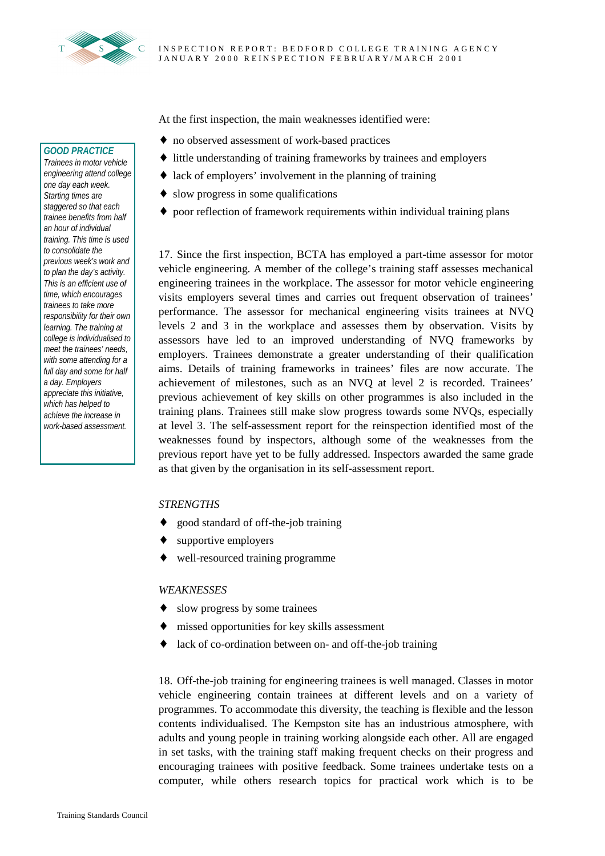

At the first inspection, the main weaknesses identified were:

- ♦ no observed assessment of work-based practices
- ♦ little understanding of training frameworks by trainees and employers
- $\triangleleft$  lack of employers' involvement in the planning of training
- ♦ slow progress in some qualifications
- ♦ poor reflection of framework requirements within individual training plans

17. Since the first inspection, BCTA has employed a part-time assessor for motor vehicle engineering. A member of the college's training staff assesses mechanical engineering trainees in the workplace. The assessor for motor vehicle engineering visits employers several times and carries out frequent observation of trainees' performance. The assessor for mechanical engineering visits trainees at NVQ levels 2 and 3 in the workplace and assesses them by observation. Visits by assessors have led to an improved understanding of NVQ frameworks by employers. Trainees demonstrate a greater understanding of their qualification aims. Details of training frameworks in trainees' files are now accurate. The achievement of milestones, such as an NVQ at level 2 is recorded. Trainees' previous achievement of key skills on other programmes is also included in the training plans. Trainees still make slow progress towards some NVQs, especially at level 3. The self-assessment report for the reinspection identified most of the weaknesses found by inspectors, although some of the weaknesses from the previous report have yet to be fully addressed. Inspectors awarded the same grade as that given by the organisation in its self-assessment report.

#### *STRENGTHS*

- ♦ good standard of off-the-job training
- supportive employers
- ♦ well-resourced training programme

#### *WEAKNESSES*

- slow progress by some trainees
- ♦ missed opportunities for key skills assessment
- ♦ lack of co-ordination between on- and off-the-job training

18. Off-the-job training for engineering trainees is well managed. Classes in motor vehicle engineering contain trainees at different levels and on a variety of programmes. To accommodate this diversity, the teaching is flexible and the lesson contents individualised. The Kempston site has an industrious atmosphere, with adults and young people in training working alongside each other. All are engaged in set tasks, with the training staff making frequent checks on their progress and encouraging trainees with positive feedback. Some trainees undertake tests on a computer, while others research topics for practical work which is to be

### *GOOD PRACTICE*

*Trainees in motor vehicle engineering attend college one day each week. Starting times are staggered so that each trainee benefits from half an hour of individual training. This time is used to consolidate the previous week's work and to plan the day's activity. This is an efficient use of time, which encourages trainees to take more responsibility for their own learning. The training at college is individualised to meet the trainees' needs, with some attending for a full day and some for half a day. Employers appreciate this initiative, which has helped to achieve the increase in work-based assessment.*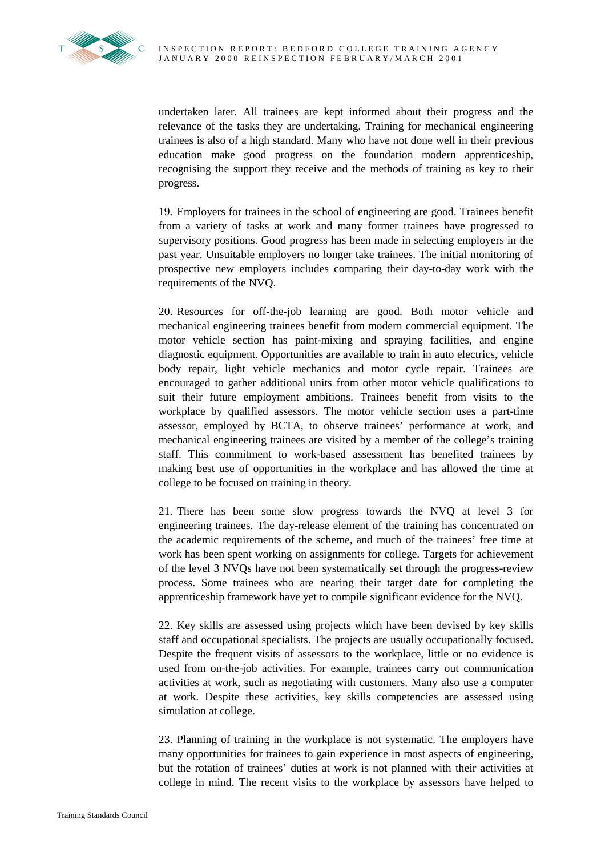

undertaken later. All trainees are kept informed about their progress and the relevance of the tasks they are undertaking. Training for mechanical engineering trainees is also of a high standard. Many who have not done well in their previous education make good progress on the foundation modern apprenticeship, recognising the support they receive and the methods of training as key to their progress.

19. Employers for trainees in the school of engineering are good. Trainees benefit from a variety of tasks at work and many former trainees have progressed to supervisory positions. Good progress has been made in selecting employers in the past year. Unsuitable employers no longer take trainees. The initial monitoring of prospective new employers includes comparing their day-to-day work with the requirements of the NVQ.

20. Resources for off-the-job learning are good. Both motor vehicle and mechanical engineering trainees benefit from modern commercial equipment. The motor vehicle section has paint-mixing and spraying facilities, and engine diagnostic equipment. Opportunities are available to train in auto electrics, vehicle body repair, light vehicle mechanics and motor cycle repair. Trainees are encouraged to gather additional units from other motor vehicle qualifications to suit their future employment ambitions. Trainees benefit from visits to the workplace by qualified assessors. The motor vehicle section uses a part-time assessor, employed by BCTA, to observe trainees' performance at work, and mechanical engineering trainees are visited by a member of the college's training staff. This commitment to work-based assessment has benefited trainees by making best use of opportunities in the workplace and has allowed the time at college to be focused on training in theory.

21. There has been some slow progress towards the NVQ at level 3 for engineering trainees. The day-release element of the training has concentrated on the academic requirements of the scheme, and much of the trainees' free time at work has been spent working on assignments for college. Targets for achievement of the level 3 NVQs have not been systematically set through the progress-review process. Some trainees who are nearing their target date for completing the apprenticeship framework have yet to compile significant evidence for the NVQ.

22. Key skills are assessed using projects which have been devised by key skills staff and occupational specialists. The projects are usually occupationally focused. Despite the frequent visits of assessors to the workplace, little or no evidence is used from on-the-job activities. For example, trainees carry out communication activities at work, such as negotiating with customers. Many also use a computer at work. Despite these activities, key skills competencies are assessed using simulation at college.

23. Planning of training in the workplace is not systematic. The employers have many opportunities for trainees to gain experience in most aspects of engineering, but the rotation of trainees' duties at work is not planned with their activities at college in mind. The recent visits to the workplace by assessors have helped to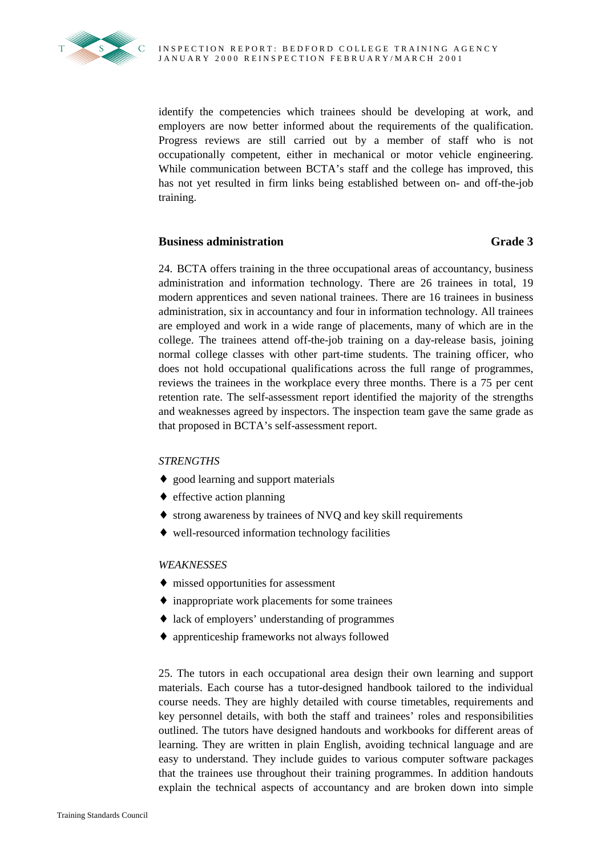

identify the competencies which trainees should be developing at work, and employers are now better informed about the requirements of the qualification. Progress reviews are still carried out by a member of staff who is not occupationally competent, either in mechanical or motor vehicle engineering. While communication between BCTA's staff and the college has improved, this has not yet resulted in firm links being established between on- and off-the-job training.

# **Business administration** Grade 3

24. BCTA offers training in the three occupational areas of accountancy, business administration and information technology. There are 26 trainees in total, 19 modern apprentices and seven national trainees. There are 16 trainees in business administration, six in accountancy and four in information technology. All trainees are employed and work in a wide range of placements, many of which are in the college. The trainees attend off-the-job training on a day-release basis, joining normal college classes with other part-time students. The training officer, who does not hold occupational qualifications across the full range of programmes, reviews the trainees in the workplace every three months. There is a 75 per cent retention rate. The self-assessment report identified the majority of the strengths and weaknesses agreed by inspectors. The inspection team gave the same grade as that proposed in BCTA's self-assessment report.

## *STRENGTHS*

- ♦ good learning and support materials
- $\triangle$  effective action planning
- ♦ strong awareness by trainees of NVQ and key skill requirements
- ♦ well-resourced information technology facilities

## *WEAKNESSES*

- ♦ missed opportunities for assessment
- ♦ inappropriate work placements for some trainees
- ♦ lack of employers' understanding of programmes
- ♦ apprenticeship frameworks not always followed

25. The tutors in each occupational area design their own learning and support materials. Each course has a tutor-designed handbook tailored to the individual course needs. They are highly detailed with course timetables, requirements and key personnel details, with both the staff and trainees' roles and responsibilities outlined. The tutors have designed handouts and workbooks for different areas of learning. They are written in plain English, avoiding technical language and are easy to understand. They include guides to various computer software packages that the trainees use throughout their training programmes. In addition handouts explain the technical aspects of accountancy and are broken down into simple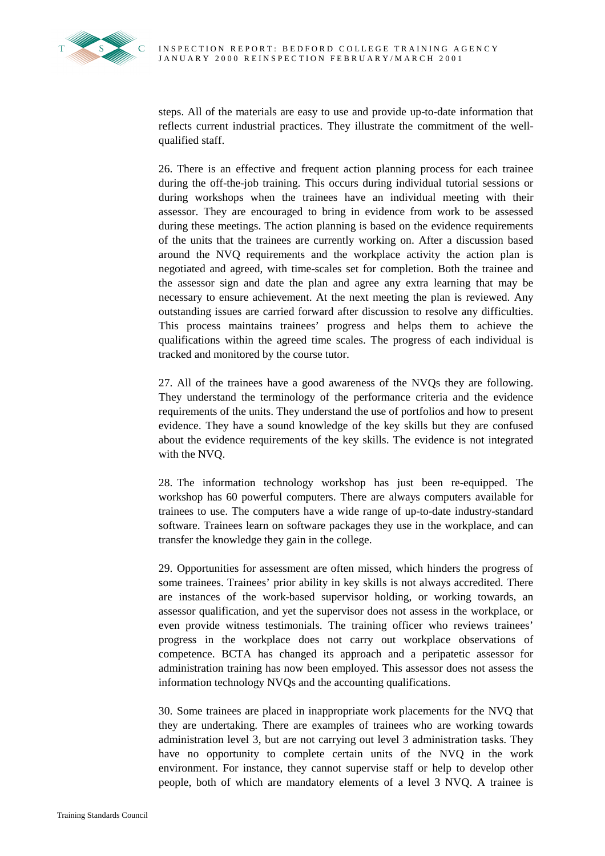

steps. All of the materials are easy to use and provide up-to-date information that reflects current industrial practices. They illustrate the commitment of the wellqualified staff.

26. There is an effective and frequent action planning process for each trainee during the off-the-job training. This occurs during individual tutorial sessions or during workshops when the trainees have an individual meeting with their assessor. They are encouraged to bring in evidence from work to be assessed during these meetings. The action planning is based on the evidence requirements of the units that the trainees are currently working on. After a discussion based around the NVQ requirements and the workplace activity the action plan is negotiated and agreed, with time-scales set for completion. Both the trainee and the assessor sign and date the plan and agree any extra learning that may be necessary to ensure achievement. At the next meeting the plan is reviewed. Any outstanding issues are carried forward after discussion to resolve any difficulties. This process maintains trainees' progress and helps them to achieve the qualifications within the agreed time scales. The progress of each individual is tracked and monitored by the course tutor.

27. All of the trainees have a good awareness of the NVQs they are following. They understand the terminology of the performance criteria and the evidence requirements of the units. They understand the use of portfolios and how to present evidence. They have a sound knowledge of the key skills but they are confused about the evidence requirements of the key skills. The evidence is not integrated with the NVQ.

28. The information technology workshop has just been re-equipped. The workshop has 60 powerful computers. There are always computers available for trainees to use. The computers have a wide range of up-to-date industry-standard software. Trainees learn on software packages they use in the workplace, and can transfer the knowledge they gain in the college.

29. Opportunities for assessment are often missed, which hinders the progress of some trainees. Trainees' prior ability in key skills is not always accredited. There are instances of the work-based supervisor holding, or working towards, an assessor qualification, and yet the supervisor does not assess in the workplace, or even provide witness testimonials. The training officer who reviews trainees' progress in the workplace does not carry out workplace observations of competence. BCTA has changed its approach and a peripatetic assessor for administration training has now been employed. This assessor does not assess the information technology NVQs and the accounting qualifications.

30. Some trainees are placed in inappropriate work placements for the NVQ that they are undertaking. There are examples of trainees who are working towards administration level 3, but are not carrying out level 3 administration tasks. They have no opportunity to complete certain units of the NVQ in the work environment. For instance, they cannot supervise staff or help to develop other people, both of which are mandatory elements of a level 3 NVQ. A trainee is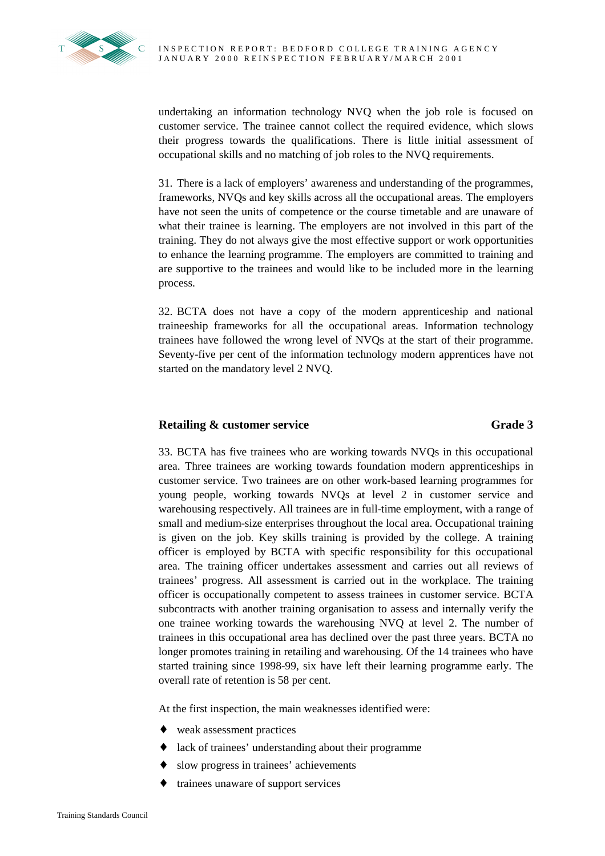

undertaking an information technology NVQ when the job role is focused on customer service. The trainee cannot collect the required evidence, which slows their progress towards the qualifications. There is little initial assessment of occupational skills and no matching of job roles to the NVQ requirements.

31. There is a lack of employers' awareness and understanding of the programmes, frameworks, NVQs and key skills across all the occupational areas. The employers have not seen the units of competence or the course timetable and are unaware of what their trainee is learning. The employers are not involved in this part of the training. They do not always give the most effective support or work opportunities to enhance the learning programme. The employers are committed to training and are supportive to the trainees and would like to be included more in the learning process.

32. BCTA does not have a copy of the modern apprenticeship and national traineeship frameworks for all the occupational areas. Information technology trainees have followed the wrong level of NVQs at the start of their programme. Seventy-five per cent of the information technology modern apprentices have not started on the mandatory level 2 NVQ.

# **Retailing & customer service Grade 3** Grade 3

33. BCTA has five trainees who are working towards NVQs in this occupational area. Three trainees are working towards foundation modern apprenticeships in customer service. Two trainees are on other work-based learning programmes for young people, working towards NVQs at level 2 in customer service and warehousing respectively. All trainees are in full-time employment, with a range of small and medium-size enterprises throughout the local area. Occupational training is given on the job. Key skills training is provided by the college. A training officer is employed by BCTA with specific responsibility for this occupational area. The training officer undertakes assessment and carries out all reviews of trainees' progress. All assessment is carried out in the workplace. The training officer is occupationally competent to assess trainees in customer service. BCTA subcontracts with another training organisation to assess and internally verify the one trainee working towards the warehousing NVQ at level 2. The number of trainees in this occupational area has declined over the past three years. BCTA no longer promotes training in retailing and warehousing. Of the 14 trainees who have started training since 1998-99, six have left their learning programme early. The overall rate of retention is 58 per cent.

At the first inspection, the main weaknesses identified were:

- ♦ weak assessment practices
- ♦ lack of trainees' understanding about their programme
- ♦ slow progress in trainees' achievements
- trainees unaware of support services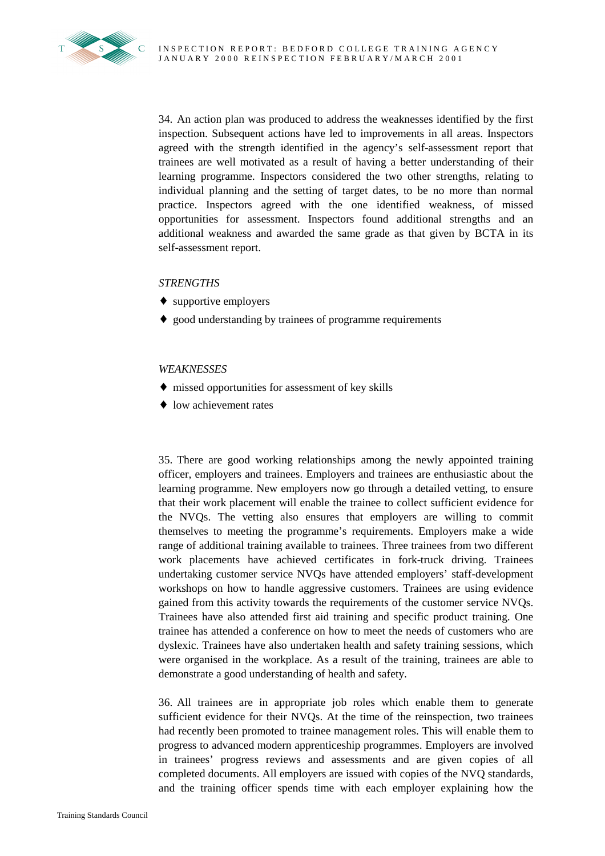34. An action plan was produced to address the weaknesses identified by the first inspection. Subsequent actions have led to improvements in all areas. Inspectors agreed with the strength identified in the agency's self-assessment report that trainees are well motivated as a result of having a better understanding of their learning programme. Inspectors considered the two other strengths, relating to individual planning and the setting of target dates, to be no more than normal practice. Inspectors agreed with the one identified weakness, of missed opportunities for assessment. Inspectors found additional strengths and an additional weakness and awarded the same grade as that given by BCTA in its self-assessment report.

# *STRENGTHS*

- $\leftrightarrow$  supportive employers
- ♦ good understanding by trainees of programme requirements

## *WEAKNESSES*

- ♦ missed opportunities for assessment of key skills
- low achievement rates

35. There are good working relationships among the newly appointed training officer, employers and trainees. Employers and trainees are enthusiastic about the learning programme. New employers now go through a detailed vetting, to ensure that their work placement will enable the trainee to collect sufficient evidence for the NVQs. The vetting also ensures that employers are willing to commit themselves to meeting the programme's requirements. Employers make a wide range of additional training available to trainees. Three trainees from two different work placements have achieved certificates in fork-truck driving. Trainees undertaking customer service NVQs have attended employers' staff**-**development workshops on how to handle aggressive customers. Trainees are using evidence gained from this activity towards the requirements of the customer service NVQs. Trainees have also attended first aid training and specific product training. One trainee has attended a conference on how to meet the needs of customers who are dyslexic. Trainees have also undertaken health and safety training sessions, which were organised in the workplace. As a result of the training, trainees are able to demonstrate a good understanding of health and safety.

36. All trainees are in appropriate job roles which enable them to generate sufficient evidence for their NVQs. At the time of the reinspection, two trainees had recently been promoted to trainee management roles. This will enable them to progress to advanced modern apprenticeship programmes. Employers are involved in trainees' progress reviews and assessments and are given copies of all completed documents. All employers are issued with copies of the NVQ standards, and the training officer spends time with each employer explaining how the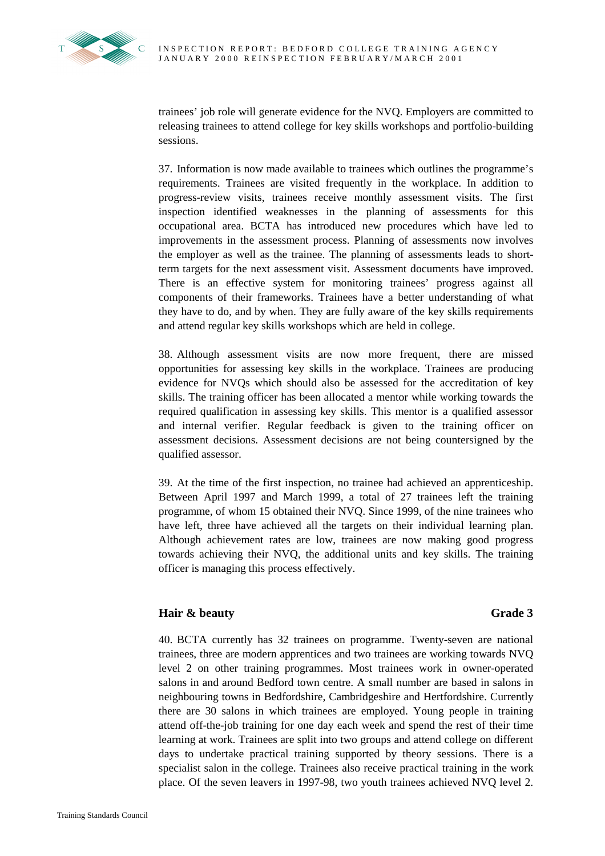

trainees' job role will generate evidence for the NVQ. Employers are committed to releasing trainees to attend college for key skills workshops and portfolio-building sessions.

37. Information is now made available to trainees which outlines the programme's requirements. Trainees are visited frequently in the workplace. In addition to progress-review visits, trainees receive monthly assessment visits. The first inspection identified weaknesses in the planning of assessments for this occupational area. BCTA has introduced new procedures which have led to improvements in the assessment process. Planning of assessments now involves the employer as well as the trainee. The planning of assessments leads to shortterm targets for the next assessment visit. Assessment documents have improved. There is an effective system for monitoring trainees' progress against all components of their frameworks. Trainees have a better understanding of what they have to do, and by when. They are fully aware of the key skills requirements and attend regular key skills workshops which are held in college.

38. Although assessment visits are now more frequent, there are missed opportunities for assessing key skills in the workplace. Trainees are producing evidence for NVQs which should also be assessed for the accreditation of key skills. The training officer has been allocated a mentor while working towards the required qualification in assessing key skills. This mentor is a qualified assessor and internal verifier. Regular feedback is given to the training officer on assessment decisions. Assessment decisions are not being countersigned by the qualified assessor.

39. At the time of the first inspection, no trainee had achieved an apprenticeship. Between April 1997 and March 1999, a total of 27 trainees left the training programme, of whom 15 obtained their NVQ. Since 1999, of the nine trainees who have left, three have achieved all the targets on their individual learning plan. Although achievement rates are low, trainees are now making good progress towards achieving their NVQ, the additional units and key skills. The training officer is managing this process effectively.

# **Hair & beauty** Grade 3

40. BCTA currently has 32 trainees on programme. Twenty-seven are national trainees, three are modern apprentices and two trainees are working towards NVQ level 2 on other training programmes. Most trainees work in owner-operated salons in and around Bedford town centre. A small number are based in salons in neighbouring towns in Bedfordshire, Cambridgeshire and Hertfordshire. Currently there are 30 salons in which trainees are employed. Young people in training attend off-the-job training for one day each week and spend the rest of their time learning at work. Trainees are split into two groups and attend college on different days to undertake practical training supported by theory sessions. There is a specialist salon in the college. Trainees also receive practical training in the work place. Of the seven leavers in 1997-98, two youth trainees achieved NVQ level 2.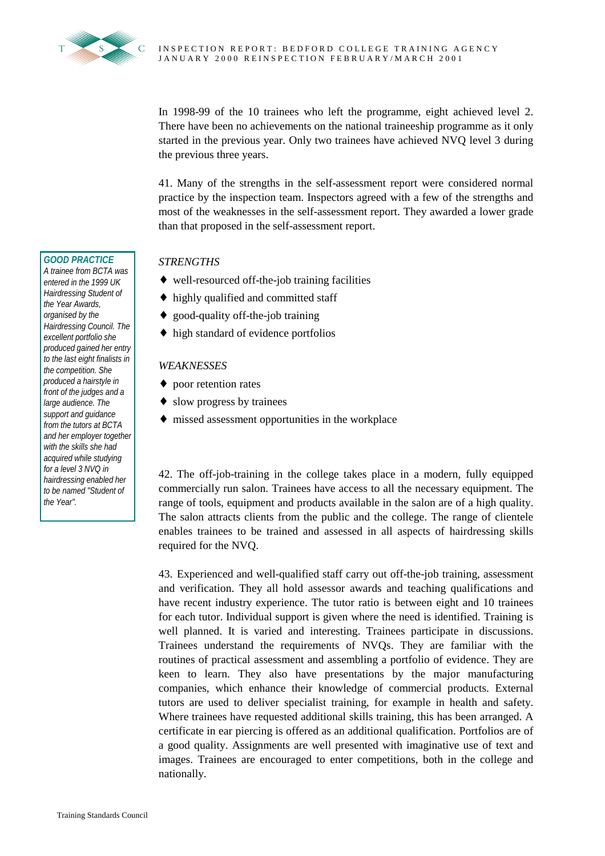

In 1998-99 of the 10 trainees who left the programme, eight achieved level 2. There have been no achievements on the national traineeship programme as it only started in the previous year. Only two trainees have achieved NVQ level 3 during the previous three years.

41. Many of the strengths in the self-assessment report were considered normal practice by the inspection team. Inspectors agreed with a few of the strengths and most of the weaknesses in the self-assessment report. They awarded a lower grade than that proposed in the self-assessment report.

# *STRENGTHS*

- ♦ well-resourced off-the-job training facilities
- ♦ highly qualified and committed staff
- ♦ good-quality off-the-job training
- ♦ high standard of evidence portfolios

# *WEAKNESSES*

- ♦ poor retention rates
- ♦ slow progress by trainees
- ♦ missed assessment opportunities in the workplace

42. The off-job-training in the college takes place in a modern, fully equipped commercially run salon. Trainees have access to all the necessary equipment. The range of tools, equipment and products available in the salon are of a high quality. The salon attracts clients from the public and the college. The range of clientele enables trainees to be trained and assessed in all aspects of hairdressing skills required for the NVQ.

43. Experienced and well-qualified staff carry out off-the-job training, assessment and verification. They all hold assessor awards and teaching qualifications and have recent industry experience. The tutor ratio is between eight and 10 trainees for each tutor. Individual support is given where the need is identified. Training is well planned. It is varied and interesting. Trainees participate in discussions. Trainees understand the requirements of NVQs. They are familiar with the routines of practical assessment and assembling a portfolio of evidence. They are keen to learn. They also have presentations by the major manufacturing companies, which enhance their knowledge of commercial products. External tutors are used to deliver specialist training, for example in health and safety. Where trainees have requested additional skills training, this has been arranged. A certificate in ear piercing is offered as an additional qualification. Portfolios are of a good quality. Assignments are well presented with imaginative use of text and images. Trainees are encouraged to enter competitions, both in the college and nationally.

## *GOOD PRACTICE*

*A trainee from BCTA was entered in the 1999 UK Hairdressing Student of the Year Awards, organised by the Hairdressing Council. The excellent portfolio she produced gained her entry to the last eight finalists in the competition. She produced a hairstyle in front of the judges and a large audience. The support and guidance from the tutors at BCTA and her employer together with the skills she had acquired while studying for a level 3 NVQ in hairdressing enabled her to be named "Student of the Year".*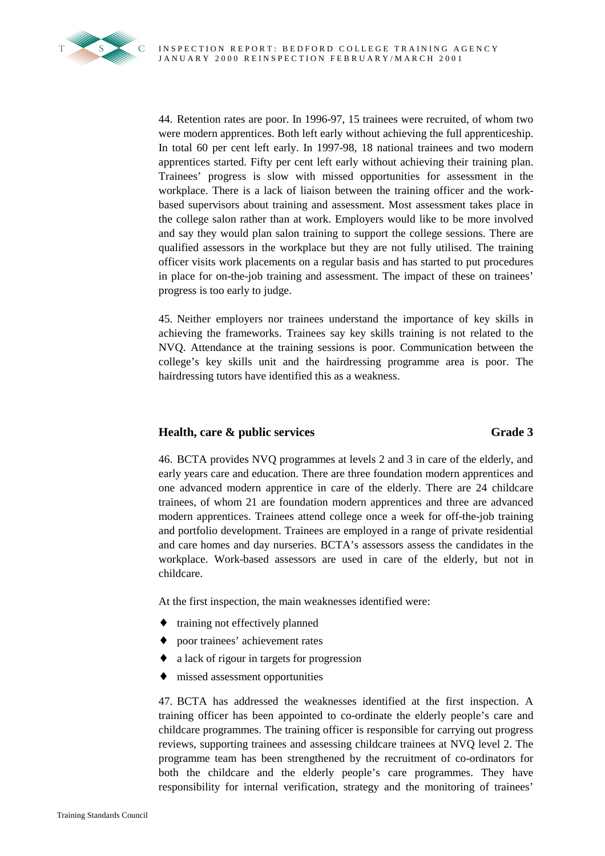

44. Retention rates are poor. In 1996-97, 15 trainees were recruited, of whom two were modern apprentices. Both left early without achieving the full apprenticeship. In total 60 per cent left early. In 1997-98, 18 national trainees and two modern apprentices started. Fifty per cent left early without achieving their training plan. Trainees' progress is slow with missed opportunities for assessment in the workplace. There is a lack of liaison between the training officer and the workbased supervisors about training and assessment. Most assessment takes place in the college salon rather than at work. Employers would like to be more involved and say they would plan salon training to support the college sessions. There are qualified assessors in the workplace but they are not fully utilised. The training officer visits work placements on a regular basis and has started to put procedures in place for on-the-job training and assessment. The impact of these on trainees' progress is too early to judge.

45. Neither employers nor trainees understand the importance of key skills in achieving the frameworks. Trainees say key skills training is not related to the NVQ. Attendance at the training sessions is poor. Communication between the college's key skills unit and the hairdressing programme area is poor. The hairdressing tutors have identified this as a weakness.

# **Health, care & public services** Grade 3

46. BCTA provides NVQ programmes at levels 2 and 3 in care of the elderly, and early years care and education. There are three foundation modern apprentices and one advanced modern apprentice in care of the elderly. There are 24 childcare trainees, of whom 21 are foundation modern apprentices and three are advanced modern apprentices. Trainees attend college once a week for off-the-job training and portfolio development. Trainees are employed in a range of private residential and care homes and day nurseries. BCTA's assessors assess the candidates in the workplace. Work-based assessors are used in care of the elderly, but not in childcare.

At the first inspection, the main weaknesses identified were:

- ♦ training not effectively planned
- ♦ poor trainees' achievement rates
- ♦ a lack of rigour in targets for progression
- missed assessment opportunities

47. BCTA has addressed the weaknesses identified at the first inspection. A training officer has been appointed to co-ordinate the elderly people's care and childcare programmes. The training officer is responsible for carrying out progress reviews, supporting trainees and assessing childcare trainees at NVQ level 2. The programme team has been strengthened by the recruitment of co-ordinators for both the childcare and the elderly people's care programmes. They have responsibility for internal verification, strategy and the monitoring of trainees'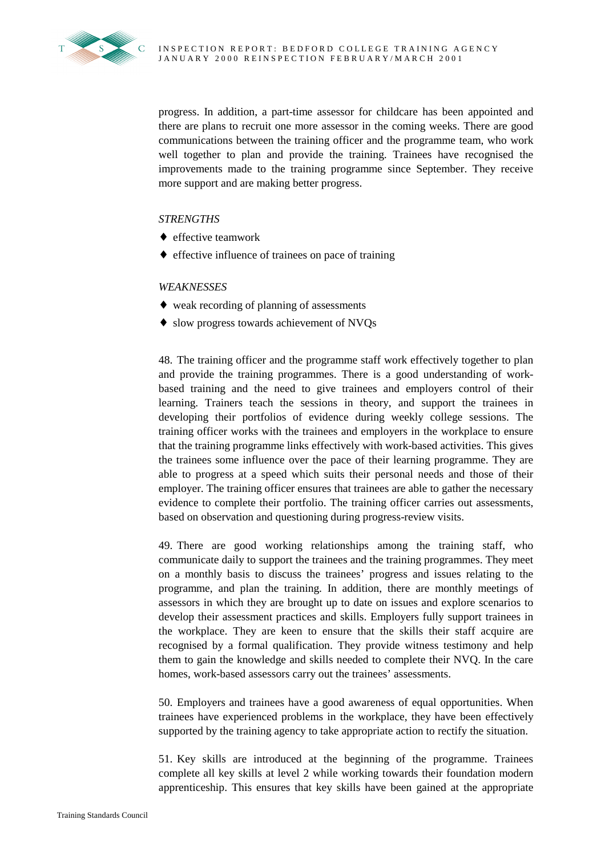

progress. In addition, a part-time assessor for childcare has been appointed and there are plans to recruit one more assessor in the coming weeks. There are good communications between the training officer and the programme team, who work well together to plan and provide the training. Trainees have recognised the improvements made to the training programme since September. They receive more support and are making better progress.

# *STRENGTHS*

- ♦ effective teamwork
- ♦ effective influence of trainees on pace of training

## *WEAKNESSES*

- ♦ weak recording of planning of assessments
- ♦ slow progress towards achievement of NVQs

48. The training officer and the programme staff work effectively together to plan and provide the training programmes. There is a good understanding of workbased training and the need to give trainees and employers control of their learning. Trainers teach the sessions in theory, and support the trainees in developing their portfolios of evidence during weekly college sessions. The training officer works with the trainees and employers in the workplace to ensure that the training programme links effectively with work-based activities. This gives the trainees some influence over the pace of their learning programme. They are able to progress at a speed which suits their personal needs and those of their employer. The training officer ensures that trainees are able to gather the necessary evidence to complete their portfolio. The training officer carries out assessments, based on observation and questioning during progress-review visits.

49. There are good working relationships among the training staff, who communicate daily to support the trainees and the training programmes. They meet on a monthly basis to discuss the trainees' progress and issues relating to the programme, and plan the training. In addition, there are monthly meetings of assessors in which they are brought up to date on issues and explore scenarios to develop their assessment practices and skills. Employers fully support trainees in the workplace. They are keen to ensure that the skills their staff acquire are recognised by a formal qualification. They provide witness testimony and help them to gain the knowledge and skills needed to complete their NVQ. In the care homes, work-based assessors carry out the trainees' assessments.

50. Employers and trainees have a good awareness of equal opportunities. When trainees have experienced problems in the workplace, they have been effectively supported by the training agency to take appropriate action to rectify the situation.

51. Key skills are introduced at the beginning of the programme. Trainees complete all key skills at level 2 while working towards their foundation modern apprenticeship. This ensures that key skills have been gained at the appropriate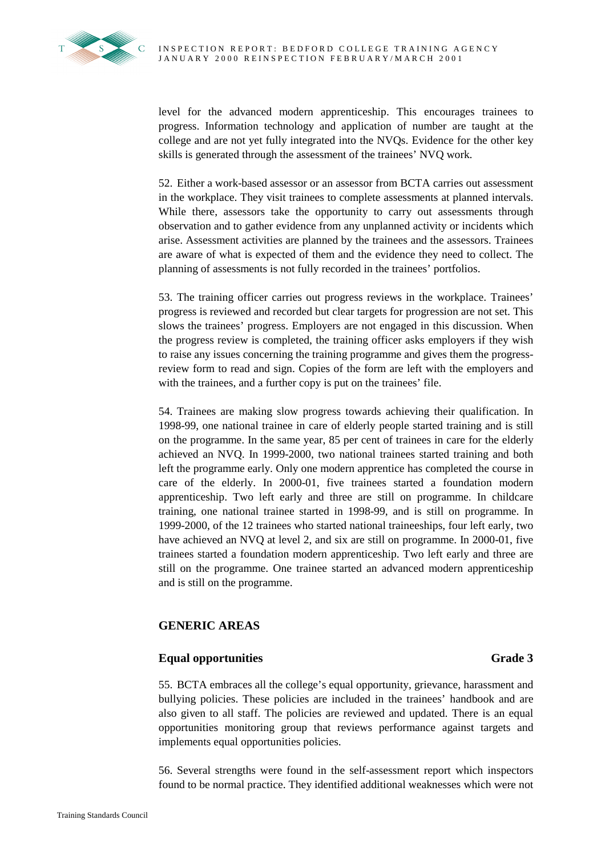

level for the advanced modern apprenticeship. This encourages trainees to progress. Information technology and application of number are taught at the college and are not yet fully integrated into the NVQs. Evidence for the other key skills is generated through the assessment of the trainees' NVQ work.

52. Either a work-based assessor or an assessor from BCTA carries out assessment in the workplace. They visit trainees to complete assessments at planned intervals. While there, assessors take the opportunity to carry out assessments through observation and to gather evidence from any unplanned activity or incidents which arise. Assessment activities are planned by the trainees and the assessors. Trainees are aware of what is expected of them and the evidence they need to collect. The planning of assessments is not fully recorded in the trainees' portfolios.

53. The training officer carries out progress reviews in the workplace. Trainees' progress is reviewed and recorded but clear targets for progression are not set. This slows the trainees' progress. Employers are not engaged in this discussion. When the progress review is completed, the training officer asks employers if they wish to raise any issues concerning the training programme and gives them the progressreview form to read and sign. Copies of the form are left with the employers and with the trainees, and a further copy is put on the trainees' file.

54. Trainees are making slow progress towards achieving their qualification. In 1998-99, one national trainee in care of elderly people started training and is still on the programme. In the same year, 85 per cent of trainees in care for the elderly achieved an NVQ. In 1999-2000, two national trainees started training and both left the programme early. Only one modern apprentice has completed the course in care of the elderly. In 2000-01, five trainees started a foundation modern apprenticeship. Two left early and three are still on programme. In childcare training, one national trainee started in 1998-99, and is still on programme. In 1999-2000, of the 12 trainees who started national traineeships, four left early, two have achieved an NVQ at level 2, and six are still on programme. In 2000-01, five trainees started a foundation modern apprenticeship. Two left early and three are still on the programme. One trainee started an advanced modern apprenticeship and is still on the programme.

# **GENERIC AREAS**

# **Equal opportunities Grade 3**

55. BCTA embraces all the college's equal opportunity, grievance, harassment and bullying policies. These policies are included in the trainees' handbook and are also given to all staff. The policies are reviewed and updated. There is an equal opportunities monitoring group that reviews performance against targets and implements equal opportunities policies.

56. Several strengths were found in the self-assessment report which inspectors found to be normal practice. They identified additional weaknesses which were not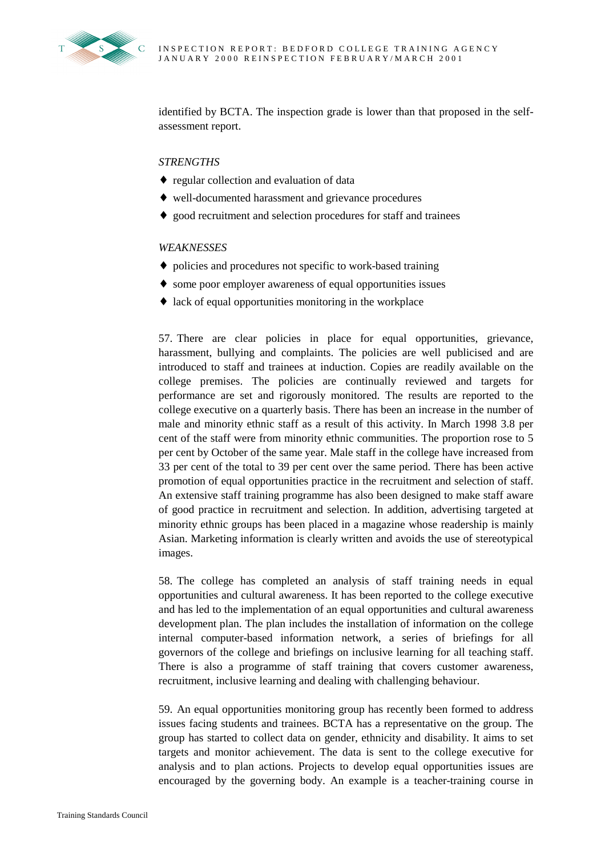

identified by BCTA. The inspection grade is lower than that proposed in the selfassessment report.

### *STRENGTHS*

- ♦ regular collection and evaluation of data
- ♦ well-documented harassment and grievance procedures
- ♦ good recruitment and selection procedures for staff and trainees

## *WEAKNESSES*

- ♦ policies and procedures not specific to work-based training
- ♦ some poor employer awareness of equal opportunities issues
- ♦ lack of equal opportunities monitoring in the workplace

57. There are clear policies in place for equal opportunities, grievance, harassment, bullying and complaints. The policies are well publicised and are introduced to staff and trainees at induction. Copies are readily available on the college premises. The policies are continually reviewed and targets for performance are set and rigorously monitored. The results are reported to the college executive on a quarterly basis. There has been an increase in the number of male and minority ethnic staff as a result of this activity. In March 1998 3.8 per cent of the staff were from minority ethnic communities. The proportion rose to 5 per cent by October of the same year. Male staff in the college have increased from 33 per cent of the total to 39 per cent over the same period. There has been active promotion of equal opportunities practice in the recruitment and selection of staff. An extensive staff training programme has also been designed to make staff aware of good practice in recruitment and selection. In addition, advertising targeted at minority ethnic groups has been placed in a magazine whose readership is mainly Asian. Marketing information is clearly written and avoids the use of stereotypical images.

58. The college has completed an analysis of staff training needs in equal opportunities and cultural awareness. It has been reported to the college executive and has led to the implementation of an equal opportunities and cultural awareness development plan. The plan includes the installation of information on the college internal computer-based information network, a series of briefings for all governors of the college and briefings on inclusive learning for all teaching staff. There is also a programme of staff training that covers customer awareness, recruitment, inclusive learning and dealing with challenging behaviour.

59. An equal opportunities monitoring group has recently been formed to address issues facing students and trainees. BCTA has a representative on the group. The group has started to collect data on gender, ethnicity and disability. It aims to set targets and monitor achievement. The data is sent to the college executive for analysis and to plan actions. Projects to develop equal opportunities issues are encouraged by the governing body. An example is a teacher-training course in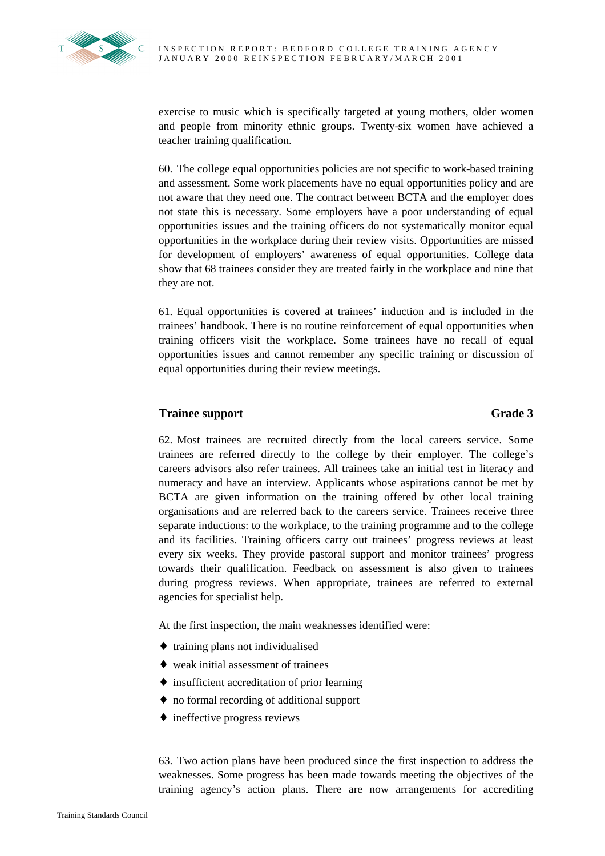

exercise to music which is specifically targeted at young mothers, older women and people from minority ethnic groups. Twenty-six women have achieved a teacher training qualification.

60. The college equal opportunities policies are not specific to work-based training and assessment. Some work placements have no equal opportunities policy and are not aware that they need one. The contract between BCTA and the employer does not state this is necessary. Some employers have a poor understanding of equal opportunities issues and the training officers do not systematically monitor equal opportunities in the workplace during their review visits. Opportunities are missed for development of employers' awareness of equal opportunities. College data show that 68 trainees consider they are treated fairly in the workplace and nine that they are not.

61. Equal opportunities is covered at trainees' induction and is included in the trainees' handbook. There is no routine reinforcement of equal opportunities when training officers visit the workplace. Some trainees have no recall of equal opportunities issues and cannot remember any specific training or discussion of equal opportunities during their review meetings.

# **Trainee support** Grade 3

62. Most trainees are recruited directly from the local careers service. Some trainees are referred directly to the college by their employer. The college's careers advisors also refer trainees. All trainees take an initial test in literacy and numeracy and have an interview. Applicants whose aspirations cannot be met by BCTA are given information on the training offered by other local training organisations and are referred back to the careers service. Trainees receive three separate inductions: to the workplace, to the training programme and to the college and its facilities. Training officers carry out trainees' progress reviews at least every six weeks. They provide pastoral support and monitor trainees' progress towards their qualification. Feedback on assessment is also given to trainees during progress reviews. When appropriate, trainees are referred to external agencies for specialist help.

At the first inspection, the main weaknesses identified were:

- ♦ training plans not individualised
- ♦ weak initial assessment of trainees
- ♦ insufficient accreditation of prior learning
- ♦ no formal recording of additional support
- $\triangle$  ineffective progress reviews

63. Two action plans have been produced since the first inspection to address the weaknesses. Some progress has been made towards meeting the objectives of the training agency's action plans. There are now arrangements for accrediting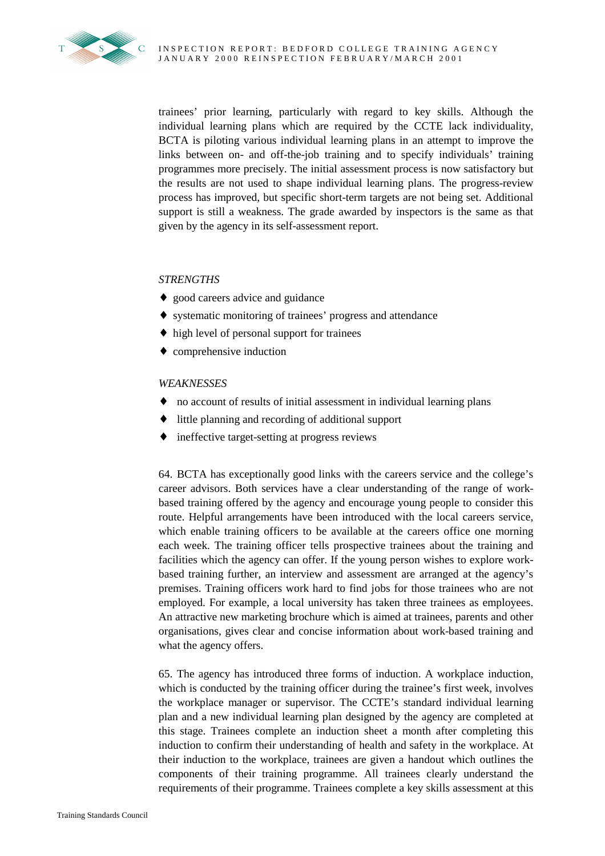

trainees' prior learning, particularly with regard to key skills. Although the individual learning plans which are required by the CCTE lack individuality, BCTA is piloting various individual learning plans in an attempt to improve the links between on- and off-the-job training and to specify individuals' training programmes more precisely. The initial assessment process is now satisfactory but the results are not used to shape individual learning plans. The progress-review process has improved, but specific short-term targets are not being set. Additional support is still a weakness. The grade awarded by inspectors is the same as that given by the agency in its self-assessment report.

# *STRENGTHS*

- ♦ good careers advice and guidance
- ♦ systematic monitoring of trainees' progress and attendance
- ♦ high level of personal support for trainees
- ♦ comprehensive induction

## *WEAKNESSES*

- ♦ no account of results of initial assessment in individual learning plans
- little planning and recording of additional support
- ineffective target-setting at progress reviews

64. BCTA has exceptionally good links with the careers service and the college's career advisors. Both services have a clear understanding of the range of workbased training offered by the agency and encourage young people to consider this route. Helpful arrangements have been introduced with the local careers service, which enable training officers to be available at the careers office one morning each week. The training officer tells prospective trainees about the training and facilities which the agency can offer. If the young person wishes to explore workbased training further, an interview and assessment are arranged at the agency's premises. Training officers work hard to find jobs for those trainees who are not employed. For example, a local university has taken three trainees as employees. An attractive new marketing brochure which is aimed at trainees, parents and other organisations, gives clear and concise information about work-based training and what the agency offers.

65. The agency has introduced three forms of induction. A workplace induction, which is conducted by the training officer during the trainee's first week, involves the workplace manager or supervisor. The CCTE's standard individual learning plan and a new individual learning plan designed by the agency are completed at this stage. Trainees complete an induction sheet a month after completing this induction to confirm their understanding of health and safety in the workplace. At their induction to the workplace, trainees are given a handout which outlines the components of their training programme. All trainees clearly understand the requirements of their programme. Trainees complete a key skills assessment at this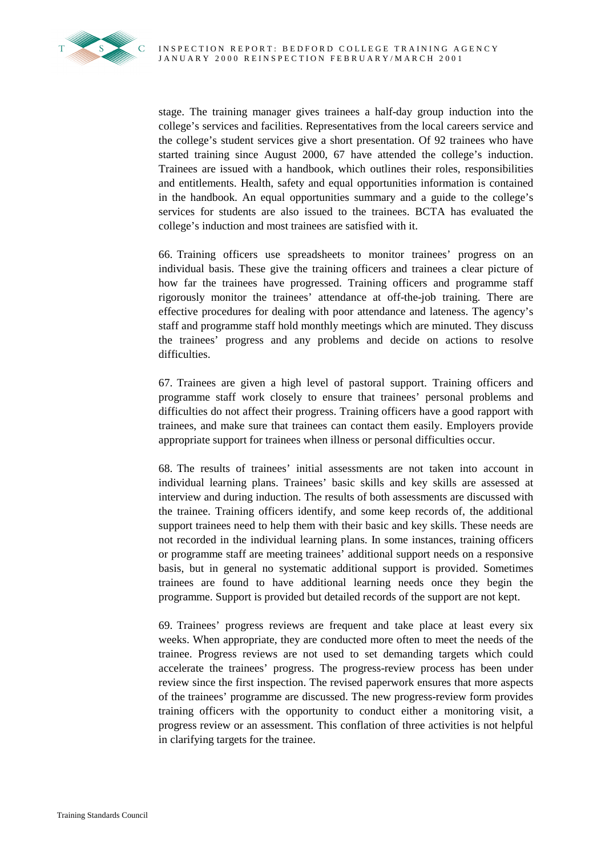

stage. The training manager gives trainees a half-day group induction into the college's services and facilities. Representatives from the local careers service and the college's student services give a short presentation. Of 92 trainees who have started training since August 2000, 67 have attended the college's induction. Trainees are issued with a handbook, which outlines their roles, responsibilities and entitlements. Health, safety and equal opportunities information is contained in the handbook. An equal opportunities summary and a guide to the college's services for students are also issued to the trainees. BCTA has evaluated the college's induction and most trainees are satisfied with it.

66. Training officers use spreadsheets to monitor trainees' progress on an individual basis. These give the training officers and trainees a clear picture of how far the trainees have progressed. Training officers and programme staff rigorously monitor the trainees' attendance at off-the-job training. There are effective procedures for dealing with poor attendance and lateness. The agency's staff and programme staff hold monthly meetings which are minuted. They discuss the trainees' progress and any problems and decide on actions to resolve difficulties.

67. Trainees are given a high level of pastoral support. Training officers and programme staff work closely to ensure that trainees' personal problems and difficulties do not affect their progress. Training officers have a good rapport with trainees, and make sure that trainees can contact them easily. Employers provide appropriate support for trainees when illness or personal difficulties occur.

68. The results of trainees' initial assessments are not taken into account in individual learning plans. Trainees' basic skills and key skills are assessed at interview and during induction. The results of both assessments are discussed with the trainee. Training officers identify, and some keep records of, the additional support trainees need to help them with their basic and key skills. These needs are not recorded in the individual learning plans. In some instances, training officers or programme staff are meeting trainees' additional support needs on a responsive basis, but in general no systematic additional support is provided. Sometimes trainees are found to have additional learning needs once they begin the programme. Support is provided but detailed records of the support are not kept.

69. Trainees' progress reviews are frequent and take place at least every six weeks. When appropriate, they are conducted more often to meet the needs of the trainee. Progress reviews are not used to set demanding targets which could accelerate the trainees' progress. The progress-review process has been under review since the first inspection. The revised paperwork ensures that more aspects of the trainees' programme are discussed. The new progress-review form provides training officers with the opportunity to conduct either a monitoring visit, a progress review or an assessment. This conflation of three activities is not helpful in clarifying targets for the trainee.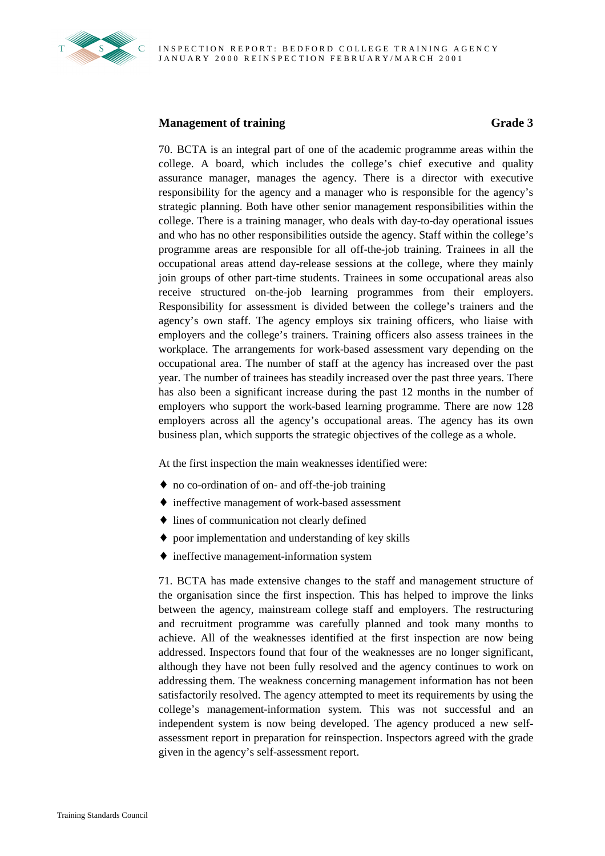

# **Management of training Grade 3**

70. BCTA is an integral part of one of the academic programme areas within the college. A board, which includes the college's chief executive and quality assurance manager, manages the agency. There is a director with executive responsibility for the agency and a manager who is responsible for the agency's strategic planning. Both have other senior management responsibilities within the college. There is a training manager, who deals with day-to-day operational issues and who has no other responsibilities outside the agency. Staff within the college's programme areas are responsible for all off-the-job training. Trainees in all the occupational areas attend day-release sessions at the college, where they mainly join groups of other part-time students. Trainees in some occupational areas also receive structured on-the-job learning programmes from their employers. Responsibility for assessment is divided between the college's trainers and the agency's own staff. The agency employs six training officers, who liaise with employers and the college's trainers. Training officers also assess trainees in the workplace. The arrangements for work-based assessment vary depending on the occupational area. The number of staff at the agency has increased over the past year. The number of trainees has steadily increased over the past three years. There has also been a significant increase during the past 12 months in the number of employers who support the work-based learning programme. There are now 128 employers across all the agency's occupational areas. The agency has its own business plan, which supports the strategic objectives of the college as a whole.

At the first inspection the main weaknesses identified were:

- ♦ no co-ordination of on- and off-the-job training
- ♦ ineffective management of work-based assessment
- ♦ lines of communication not clearly defined
- ♦ poor implementation and understanding of key skills
- ♦ ineffective management-information system

71. BCTA has made extensive changes to the staff and management structure of the organisation since the first inspection. This has helped to improve the links between the agency, mainstream college staff and employers. The restructuring and recruitment programme was carefully planned and took many months to achieve. All of the weaknesses identified at the first inspection are now being addressed. Inspectors found that four of the weaknesses are no longer significant, although they have not been fully resolved and the agency continues to work on addressing them. The weakness concerning management information has not been satisfactorily resolved. The agency attempted to meet its requirements by using the college's management-information system. This was not successful and an independent system is now being developed. The agency produced a new selfassessment report in preparation for reinspection. Inspectors agreed with the grade given in the agency's self-assessment report.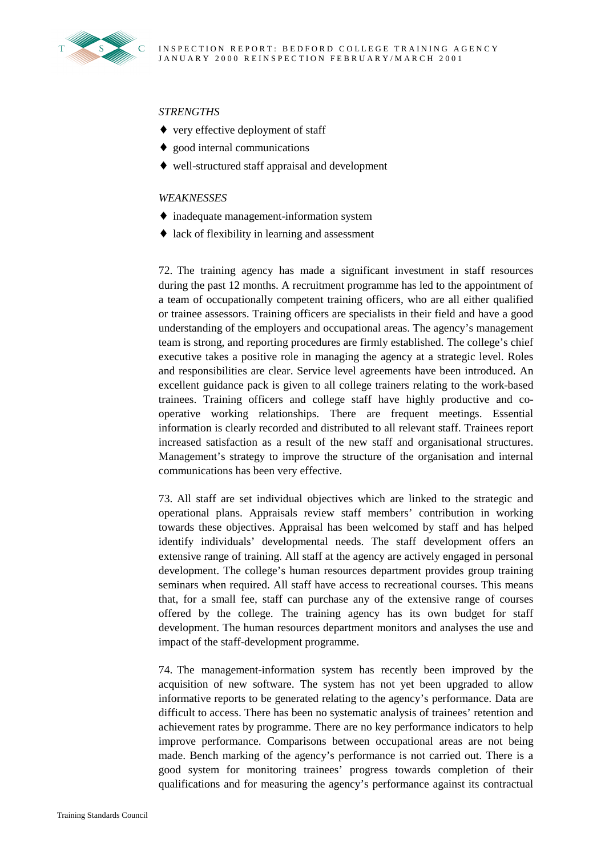

# *STRENGTHS*

- ♦ very effective deployment of staff
- ♦ good internal communications
- ♦ well-structured staff appraisal and development

### *WEAKNESSES*

- ♦ inadequate management-information system
- ♦ lack of flexibility in learning and assessment

72. The training agency has made a significant investment in staff resources during the past 12 months. A recruitment programme has led to the appointment of a team of occupationally competent training officers, who are all either qualified or trainee assessors. Training officers are specialists in their field and have a good understanding of the employers and occupational areas. The agency's management team is strong, and reporting procedures are firmly established. The college's chief executive takes a positive role in managing the agency at a strategic level. Roles and responsibilities are clear. Service level agreements have been introduced. An excellent guidance pack is given to all college trainers relating to the work-based trainees. Training officers and college staff have highly productive and cooperative working relationships. There are frequent meetings. Essential information is clearly recorded and distributed to all relevant staff. Trainees report increased satisfaction as a result of the new staff and organisational structures. Management's strategy to improve the structure of the organisation and internal communications has been very effective.

73. All staff are set individual objectives which are linked to the strategic and operational plans. Appraisals review staff members' contribution in working towards these objectives. Appraisal has been welcomed by staff and has helped identify individuals' developmental needs. The staff development offers an extensive range of training. All staff at the agency are actively engaged in personal development. The college's human resources department provides group training seminars when required. All staff have access to recreational courses. This means that, for a small fee, staff can purchase any of the extensive range of courses offered by the college. The training agency has its own budget for staff development. The human resources department monitors and analyses the use and impact of the staff-development programme.

74. The management-information system has recently been improved by the acquisition of new software. The system has not yet been upgraded to allow informative reports to be generated relating to the agency's performance. Data are difficult to access. There has been no systematic analysis of trainees' retention and achievement rates by programme. There are no key performance indicators to help improve performance. Comparisons between occupational areas are not being made. Bench marking of the agency's performance is not carried out. There is a good system for monitoring trainees' progress towards completion of their qualifications and for measuring the agency's performance against its contractual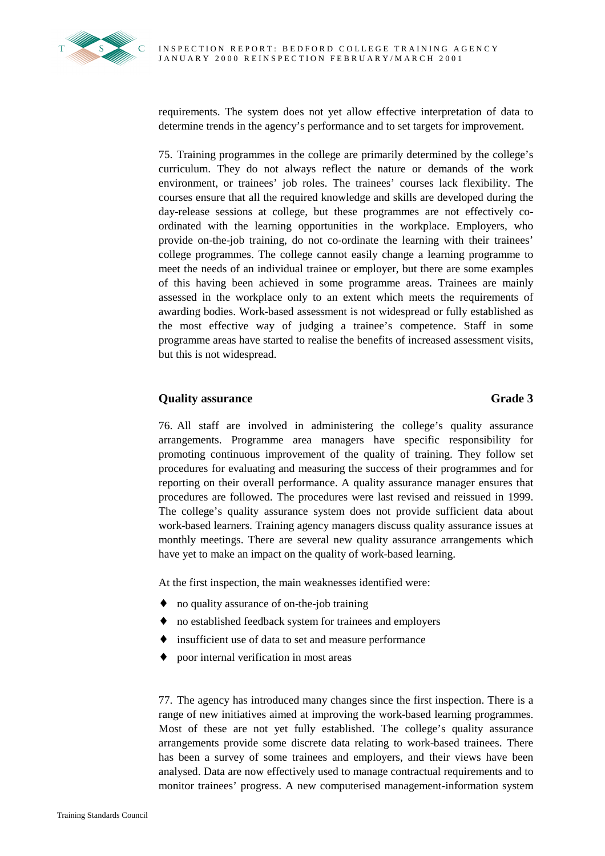requirements. The system does not yet allow effective interpretation of data to determine trends in the agency's performance and to set targets for improvement.

75. Training programmes in the college are primarily determined by the college's curriculum. They do not always reflect the nature or demands of the work environment, or trainees' job roles. The trainees' courses lack flexibility. The courses ensure that all the required knowledge and skills are developed during the day-release sessions at college, but these programmes are not effectively coordinated with the learning opportunities in the workplace. Employers, who provide on-the-job training, do not co-ordinate the learning with their trainees' college programmes. The college cannot easily change a learning programme to meet the needs of an individual trainee or employer, but there are some examples of this having been achieved in some programme areas. Trainees are mainly assessed in the workplace only to an extent which meets the requirements of awarding bodies. Work-based assessment is not widespread or fully established as the most effective way of judging a trainee's competence. Staff in some programme areas have started to realise the benefits of increased assessment visits, but this is not widespread.

# **Quality assurance** Grade 3

76. All staff are involved in administering the college's quality assurance arrangements. Programme area managers have specific responsibility for promoting continuous improvement of the quality of training. They follow set procedures for evaluating and measuring the success of their programmes and for reporting on their overall performance. A quality assurance manager ensures that procedures are followed. The procedures were last revised and reissued in 1999. The college's quality assurance system does not provide sufficient data about work-based learners. Training agency managers discuss quality assurance issues at monthly meetings. There are several new quality assurance arrangements which have yet to make an impact on the quality of work-based learning.

At the first inspection, the main weaknesses identified were:

- ♦ no quality assurance of on-the-job training
- ♦ no established feedback system for trainees and employers
- ♦ insufficient use of data to set and measure performance
- ♦ poor internal verification in most areas

77. The agency has introduced many changes since the first inspection. There is a range of new initiatives aimed at improving the work-based learning programmes. Most of these are not yet fully established. The college's quality assurance arrangements provide some discrete data relating to work-based trainees. There has been a survey of some trainees and employers, and their views have been analysed. Data are now effectively used to manage contractual requirements and to monitor trainees' progress. A new computerised management**-**information system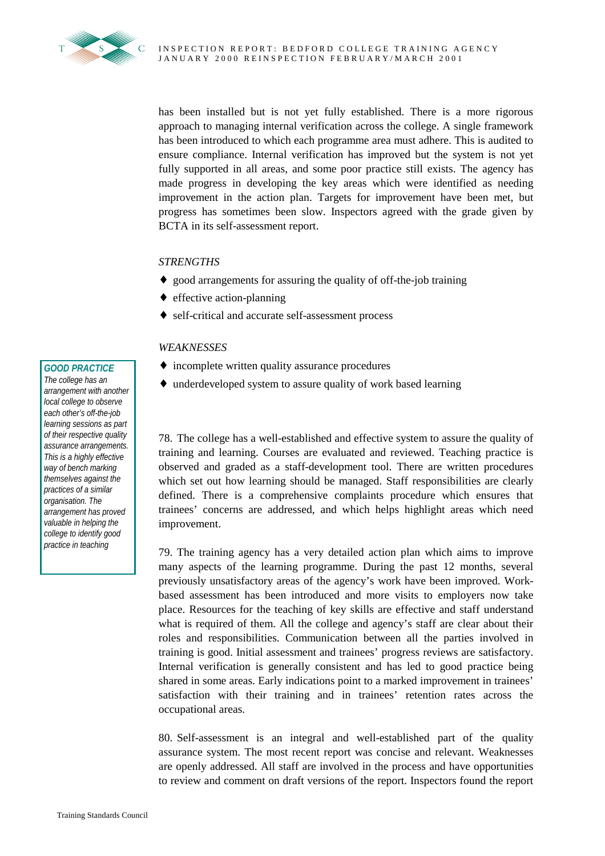

has been installed but is not yet fully established. There is a more rigorous approach to managing internal verification across the college. A single framework has been introduced to which each programme area must adhere. This is audited to ensure compliance. Internal verification has improved but the system is not yet fully supported in all areas, and some poor practice still exists. The agency has made progress in developing the key areas which were identified as needing improvement in the action plan. Targets for improvement have been met, but progress has sometimes been slow. Inspectors agreed with the grade given by BCTA in its self-assessment report.

# *STRENGTHS*

- ♦ good arrangements for assuring the quality of off-the-job training
- ♦ effective action-planning
- ♦ self-critical and accurate self-assessment process

## *WEAKNESSES*

- ♦ incomplete written quality assurance procedures
- ♦ underdeveloped system to assure quality of work based learning

78. The college has a well-established and effective system to assure the quality of training and learning. Courses are evaluated and reviewed. Teaching practice is observed and graded as a staff-development tool. There are written procedures which set out how learning should be managed. Staff responsibilities are clearly defined. There is a comprehensive complaints procedure which ensures that trainees' concerns are addressed, and which helps highlight areas which need improvement.

79. The training agency has a very detailed action plan which aims to improve many aspects of the learning programme. During the past 12 months, several previously unsatisfactory areas of the agency's work have been improved. Workbased assessment has been introduced and more visits to employers now take place. Resources for the teaching of key skills are effective and staff understand what is required of them. All the college and agency's staff are clear about their roles and responsibilities. Communication between all the parties involved in training is good. Initial assessment and trainees' progress reviews are satisfactory. Internal verification is generally consistent and has led to good practice being shared in some areas. Early indications point to a marked improvement in trainees' satisfaction with their training and in trainees' retention rates across the occupational areas.

80. Self-assessment is an integral and well-established part of the quality assurance system. The most recent report was concise and relevant. Weaknesses are openly addressed. All staff are involved in the process and have opportunities to review and comment on draft versions of the report. Inspectors found the report

#### *GOOD PRACTICE*

*The college has an arrangement with another local college to observe each other's off-the-job learning sessions as part of their respective quality assurance arrangements. This is a highly effective way of bench marking themselves against the practices of a similar organisation. The arrangement has proved valuable in helping the college to identify good practice in teaching*